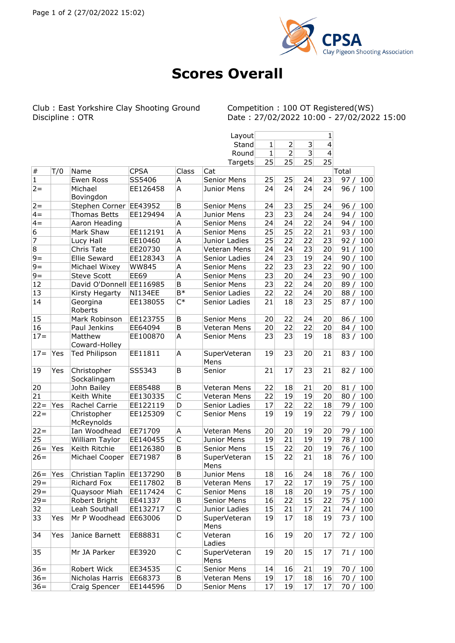

## **Scores Overall**

Club : East Yorkshire Clay Shooting Ground<br>Discipline : OTR

Competition : 100 OT Registered(WS)<br>Date : 27/02/2022 10:00 - 27/02/2022 15:00

|                          |     |                            |                |                         | Layout               |           |                |           | 1         |             |
|--------------------------|-----|----------------------------|----------------|-------------------------|----------------------|-----------|----------------|-----------|-----------|-------------|
|                          |     |                            |                |                         | Stand                | 1         | 2              | 3         | 4         |             |
|                          |     |                            |                |                         | Round                | 1         | $\overline{2}$ | 3         | 4         |             |
|                          |     |                            |                |                         | Targets              | 25        | 25             | 25        | 25        |             |
| $\#$                     | T/0 | Name                       | <b>CPSA</b>    | Class                   | Cat                  |           |                |           |           | Total       |
| 1                        |     | Ewen Ross                  | SS5406         | Α                       | <b>Senior Mens</b>   | 25        | 25             | 24        | 23        | 97/<br>100  |
| $2 =$                    |     | Michael<br>Bovingdon       | EE126458       | A                       | Junior Mens          | 24        | 24             | 24        | 24        | 96/<br>100  |
| $2 =$                    |     | Stephen Corner   EE43952   |                | B                       | <b>Senior Mens</b>   | 24        | 23             | 25        | 24        | 96/<br>100  |
| $4 =$                    |     | Thomas Betts               | EE129494       | Α                       | Junior Mens          | 23        | 23             | 24        | 24        | 100<br>94/  |
| $4 =$                    |     | Aaron Heading              |                | A                       | Senior Mens          | 24        | 24             | 22        | 24        | 94/<br>100  |
| 6                        |     | Mark Shaw                  | EE112191       | A                       | Senior Mens          | 25        | 25             | 22        | 21        | 100<br>93/  |
| $\overline{\phantom{a}}$ |     | Lucy Hall                  | EE10460        | A                       | Junior Ladies        | 25        | 22             | 22        | 23        | 92/<br>100  |
| 8                        |     | Chris Tate                 | EE20730        | Α                       | Veteran Mens         | 24        | 24             | 23        | 20        | 91/<br>100  |
| $9=$                     |     | Ellie Seward               | EE128343       | A                       | Senior Ladies        | 24        | 23             | 19        | 24        | 90/<br>100  |
| $9=$                     |     | Michael Wixey              | <b>WW845</b>   | A                       | Senior Mens          | 22        | 23             | 23        | 22        | 100<br>90/  |
| $9 =$                    |     | <b>Steve Scott</b>         | <b>EE69</b>    | A                       | Senior Mens          | 23        | 20             | 24        | 23        | 100<br>90/  |
| 12                       |     | David O'Donnell EE116985   |                | B                       | Senior Mens          | 23        | 22             | 24        | 20        | 100<br>89/  |
| 13                       |     | Kirsty Hegarty             | <b>NI134EE</b> | $B*$                    | Senior Ladies        | 22        | 22             | 24        | 20        | 88/<br>100  |
| 14                       |     | Georgina<br>Roberts        | EE138055       | $C^*$                   | Senior Ladies        | 21        | 18             | 23        | 25        | 87 / 100    |
| 15                       |     | Mark Robinson              | EE123755       | B                       | <b>Senior Mens</b>   | 20        | 22             | 24        | 20        | 86/<br>100  |
| 16                       |     | Paul Jenkins               | EE64094        | В                       | Veteran Mens         | 20        | 22             | 22        | 20        | 84/<br>100  |
| $17 =$                   |     | Matthew                    | EE100870       | Α                       | <b>Senior Mens</b>   | 23        | 23             | 19        | 18        | 83 / 100    |
|                          |     | Coward-Holley              |                |                         |                      |           |                |           |           |             |
| $17 =$                   | Yes | <b>Ted Philipson</b>       | EE11811        | А                       | SuperVeteran<br>Mens | 19        | 23             | 20        | 21        | 83 / 100    |
| 19                       | Yes | Christopher<br>Sockalingam | SS5343         | В                       | Senior               | 21        | 17             | 23        | 21        | 82 / 100    |
| 20                       |     | John Bailey                | EE85488        | В                       | Veteran Mens         | 22        | 18             | 21        | 20        | 81/<br>100  |
| 21                       |     | Keith White                | EE130335       | $\mathsf C$             | Veteran Mens         | 22        | 19             | 19        | 20        | 80/<br>100  |
| $22 =$                   | Yes | Rachel Carrie              | EE122119       | D                       | Senior Ladies        | 17        | 22             | 22        | 18        | 79/<br>100  |
| $22 =$                   |     | Christopher<br>McReynolds  | EE125309       | C                       | Senior Mens          | 19        | 19             | 19        | 22        | 79 / 100    |
| $22 =$                   |     | Ian Woodhead               | EE71709        | Α                       | Veteran Mens         | 20        | 20             | 19        | 20        | 100<br>79 / |
| 25                       |     | William Taylor             | EE140455       | $\overline{\mathsf{C}}$ | Junior Mens          | 19        | 21             | 19        | 19        | 78/<br>100  |
| $26=$                    | Yes | Keith Ritchie              | EE126380       | В                       | Senior Mens          | 15        | 22             | 20        | 19        | 76/<br>100  |
| $26=$                    |     | Michael Cooper             | EE71987        | В                       | SuperVeteran<br>Mens | 15        | 22             | 21        | 18        | 76 / 100    |
| $26=$                    | Yes | Christian Taplin EE137290  |                | B                       | Junior Mens          | <b>18</b> | 16             | <b>24</b> | <b>18</b> | 76/100      |
| $29 =$                   |     | Richard Fox                | EE117802       | В                       | Veteran Mens         | 17        | 22             | 17        | 19        | 75 / 100    |
| $29 =$                   |     | Quaysoor Miah              | EE117424       | С                       | Senior Mens          | 18        | 18             | 20        | 19        | 75/<br>100  |
| $29 =$                   |     | Robert Bright              | EE41337        | Β                       | Senior Mens          | 16        | 22             | 15        | 22        | 75/<br>100  |
| 32                       |     | Leah Southall              | EE132717       | $\mathsf C$             | Junior Ladies        | 15        | 21             | 17        | 21        | 74/<br>100  |
| 33                       | Yes | Mr P Woodhead              | EE63006        | D                       | SuperVeteran<br>Mens | 19        | 17             | 18        | 19        | 73 / 100    |
| 34                       | Yes | Janice Barnett             | EE88831        | C                       | Veteran<br>Ladies    | 16        | 19             | 20        | 17        | 72/100      |
| 35                       |     | Mr JA Parker               | EE3920         | C                       | SuperVeteran<br>Mens | 19        | 20             | 15        | 17        | 71/100      |
| $36 =$                   |     | Robert Wick                | EE34535        | С                       | Senior Mens          | 14        | 16             | 21        | 19        | 70 / 100    |
| $36 =$                   |     | Nicholas Harris            | EE68373        | В                       | Veteran Mens         | 19        | 17             | 18        | 16        | 70 /<br>100 |
| $36=$                    |     | Craig Spencer              | EE144596       | D                       | Senior Mens          | 17        | 19             | 17        | 17        | 70 / 100    |